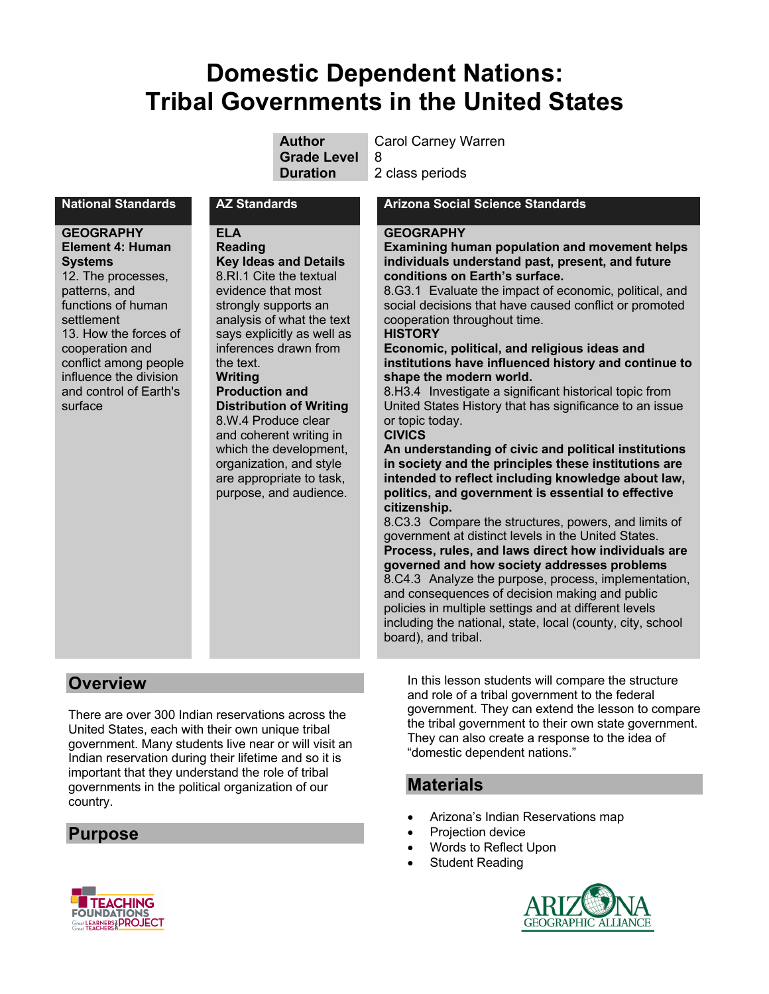# **Domestic Dependent Nations: Tribal Governments in the United States**

| <b>Author</b>      | <b>Carol Carney Warren</b> |
|--------------------|----------------------------|
| <b>Grade Level</b> | -8                         |
| <b>Duration</b>    | 2 class periods            |

#### **GEOGRAPHY Element 4: Human Systems**

12. The processes, patterns, and functions of human settlement 13. How the forces of cooperation and conflict among people influence the division and control of Earth's surface

**ELA Reading Key Ideas and Details** 8.RI.1 Cite the textual evidence that most strongly supports an analysis of what the text says explicitly as well as inferences drawn from the text. **Writing Production and Distribution of Writing** 8.W.4 Produce clear and coherent writing in which the development, organization, and style are appropriate to task, purpose, and audience.

#### **National Standards AZ Standards Arizona Social Science Standards**

#### **GEOGRAPHY**

**Examining human population and movement helps individuals understand past, present, and future conditions on Earth's surface.**

8.G3.1 Evaluate the impact of economic, political, and social decisions that have caused conflict or promoted cooperation throughout time.

#### **HISTORY**

**Economic, political, and religious ideas and institutions have influenced history and continue to shape the modern world.**

8.H3.4 Investigate a significant historical topic from United States History that has significance to an issue or topic today.

#### **CIVICS**

**An understanding of civic and political institutions in society and the principles these institutions are intended to reflect including knowledge about law, politics, and government is essential to effective citizenship.**

8.C3.3 Compare the structures, powers, and limits of government at distinct levels in the United States. **Process, rules, and laws direct how individuals are governed and how society addresses problems** 8.C4.3 Analyze the purpose, process, implementation, and consequences of decision making and public policies in multiple settings and at different levels including the national, state, local (county, city, school board), and tribal.

# **Overview**

There are over 300 Indian reservations across the United States, each with their own unique tribal government. Many students live near or will visit an Indian reservation during their lifetime and so it is important that they understand the role of tribal governments in the political organization of our country.

# **Purpose**

In this lesson students will compare the structure and role of a tribal government to the federal government. They can extend the lesson to compare the tribal government to their own state government. They can also create a response to the idea of "domestic dependent nations."

# **Materials**

- Arizona's Indian Reservations map
- Projection device
- Words to Reflect Upon
- Student Reading



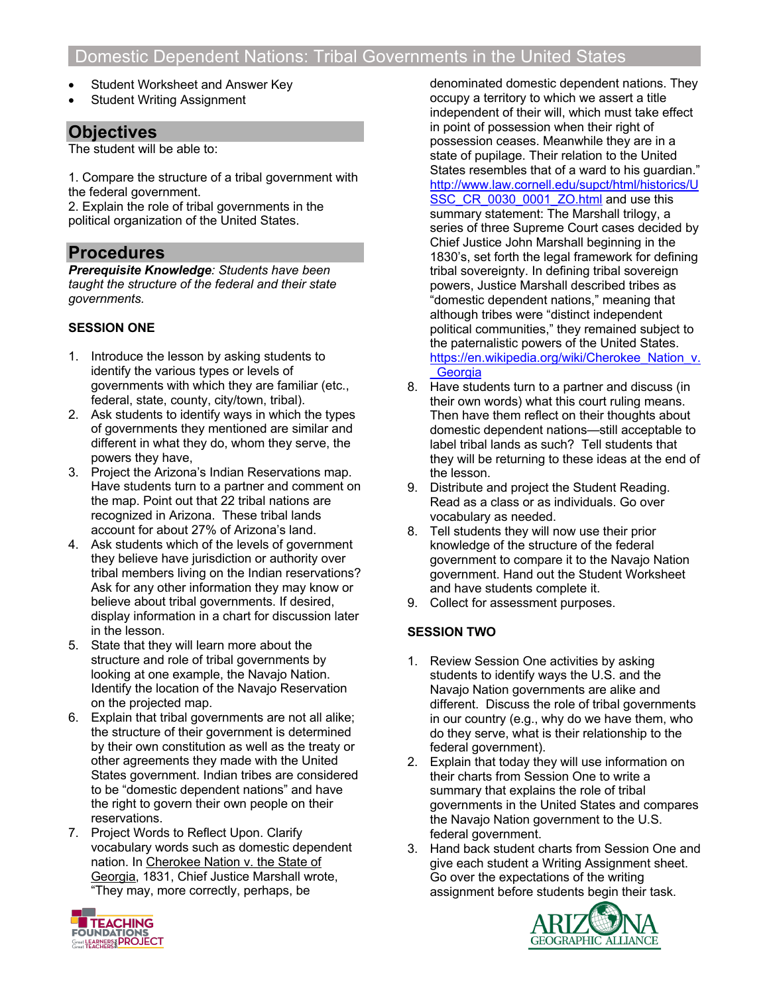- Student Worksheet and Answer Key
- **Student Writing Assignment**

# **Objectives**

The student will be able to:

1. Compare the structure of a tribal government with the federal government.

2. Explain the role of tribal governments in the political organization of the United States.

# **Procedures**

*Prerequisite Knowledge: Students have been taught the structure of the federal and their state governments.*

### **SESSION ONE**

- 1. Introduce the lesson by asking students to identify the various types or levels of governments with which they are familiar (etc., federal, state, county, city/town, tribal).
- 2. Ask students to identify ways in which the types of governments they mentioned are similar and different in what they do, whom they serve, the powers they have,
- 3. Project the Arizona's Indian Reservations map. Have students turn to a partner and comment on the map. Point out that 22 tribal nations are recognized in Arizona. These tribal lands account for about 27% of Arizona's land.
- 4. Ask students which of the levels of government they believe have jurisdiction or authority over tribal members living on the Indian reservations? Ask for any other information they may know or believe about tribal governments. If desired, display information in a chart for discussion later in the lesson.
- 5. State that they will learn more about the structure and role of tribal governments by looking at one example, the Navajo Nation. Identify the location of the Navajo Reservation on the projected map.
- 6. Explain that tribal governments are not all alike; the structure of their government is determined by their own constitution as well as the treaty or other agreements they made with the United States government. Indian tribes are considered to be "domestic dependent nations" and have the right to govern their own people on their reservations.
- 7. Project Words to Reflect Upon. Clarify vocabulary words such as domestic dependent nation. In Cherokee Nation v. the State of Georgia, 1831, Chief Justice Marshall wrote, "They may, more correctly, perhaps, be

denominated domestic dependent nations. They occupy a territory to which we assert a title independent of their will, which must take effect in point of possession when their right of possession ceases. Meanwhile they are in a state of pupilage. Their relation to the United States resembles that of a ward to his guardian." http://www.law.cornell.edu/supct/html/historics/U SSC\_CR\_0030\_0001\_ZO.html and use this summary statement: The Marshall trilogy, a series of three Supreme Court cases decided by Chief Justice John Marshall beginning in the 1830's, set forth the legal framework for defining tribal sovereignty. In defining tribal sovereign powers, Justice Marshall described tribes as "domestic dependent nations," meaning that although tribes were "distinct independent political communities," they remained subject to the paternalistic powers of the United States. https://en.wikipedia.org/wiki/Cherokee\_Nation\_v. **Georgia** 

- 8. Have students turn to a partner and discuss (in their own words) what this court ruling means. Then have them reflect on their thoughts about domestic dependent nations—still acceptable to label tribal lands as such? Tell students that they will be returning to these ideas at the end of the lesson.
- 9. Distribute and project the Student Reading. Read as a class or as individuals. Go over vocabulary as needed.
- 8. Tell students they will now use their prior knowledge of the structure of the federal government to compare it to the Navajo Nation government. Hand out the Student Worksheet and have students complete it.
- 9. Collect for assessment purposes.

#### **SESSION TWO**

- 1. Review Session One activities by asking students to identify ways the U.S. and the Navajo Nation governments are alike and different. Discuss the role of tribal governments in our country (e.g., why do we have them, who do they serve, what is their relationship to the federal government).
- 2. Explain that today they will use information on their charts from Session One to write a summary that explains the role of tribal governments in the United States and compares the Navajo Nation government to the U.S. federal government.
- 3. Hand back student charts from Session One and give each student a Writing Assignment sheet. Go over the expectations of the writing assignment before students begin their task.